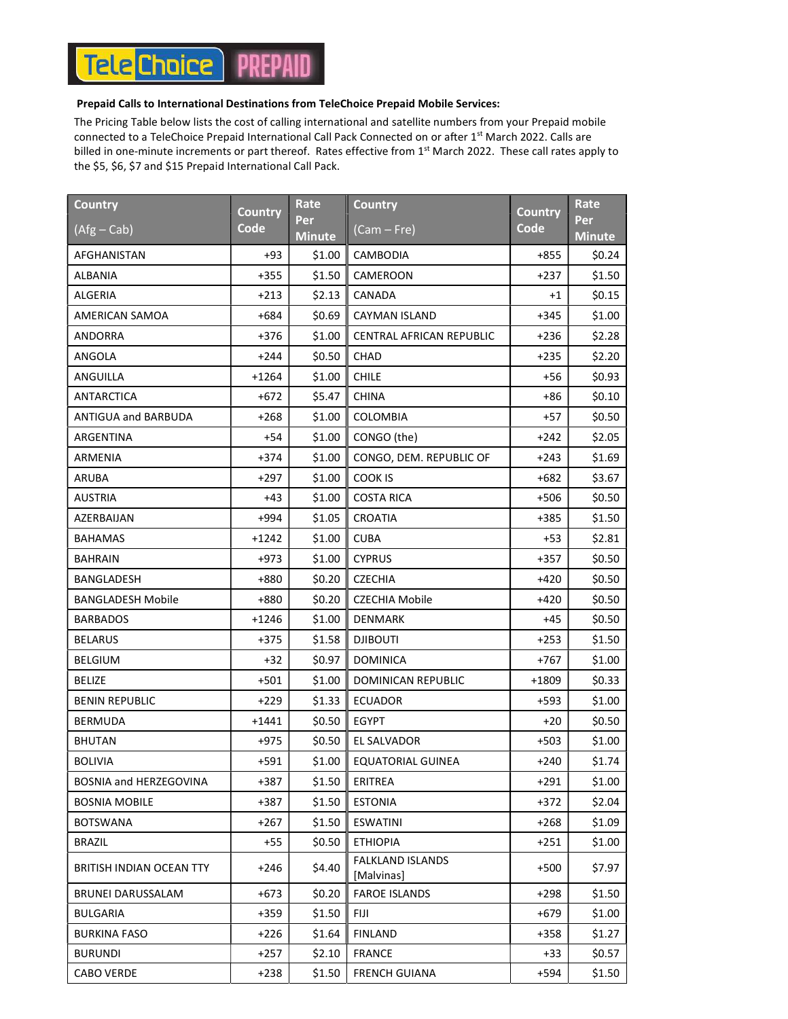## **Tele Choice** PREP

## Prepaid Calls to International Destinations from TeleChoice Prepaid Mobile Services:

The Pricing Table below lists the cost of calling international and satellite numbers from your Prepaid mobile connected to a TeleChoice Prepaid International Call Pack Connected on or after 1<sup>st</sup> March 2022. Calls are billed in one-minute increments or part thereof. Rates effective from 1<sup>st</sup> March 2022. These call rates apply to the \$5, \$6, \$7 and \$15 Prepaid International Call Pack.

| <b>Country</b>           | Country | <b>Rate</b>          | <b>Country</b>                        | <b>Country</b> | <b>Rate</b>          |
|--------------------------|---------|----------------------|---------------------------------------|----------------|----------------------|
| $(Afg - Cab)$            | Code    | Per<br><b>Minute</b> | (Cam – Fre)                           | <b>Code</b>    | Per<br><b>Minute</b> |
| AFGHANISTAN              | $+93$   | \$1.00               | CAMBODIA                              | $+855$         | \$0.24               |
| ALBANIA                  | $+355$  | \$1.50               | CAMEROON                              | $+237$         | \$1.50               |
| ALGERIA                  | $+213$  | \$2.13               | CANADA                                | $+1$           | \$0.15               |
| AMERICAN SAMOA           | $+684$  | \$0.69               | <b>CAYMAN ISLAND</b>                  | $+345$         | \$1.00               |
| ANDORRA                  | +376    | \$1.00               | CENTRAL AFRICAN REPUBLIC              | $+236$         | \$2.28               |
| ANGOLA                   | +244    | \$0.50               | CHAD                                  | $+235$         | \$2.20               |
| ANGUILLA                 | $+1264$ | \$1.00               | <b>CHILE</b>                          | +56            | \$0.93               |
| ANTARCTICA               | $+672$  | \$5.47               | <b>CHINA</b>                          | +86            | \$0.10               |
| ANTIGUA and BARBUDA      | $+268$  | \$1.00               | <b>COLOMBIA</b>                       | +57            | \$0.50               |
| ARGENTINA                | +54     | \$1.00               | CONGO (the)                           | $+242$         | \$2.05               |
| ARMENIA                  | +374    | \$1.00               | CONGO, DEM. REPUBLIC OF               | $+243$         | \$1.69               |
| ARUBA                    | $+297$  | \$1.00               | <b>COOK IS</b>                        | $+682$         | \$3.67               |
| AUSTRIA                  | $+43$   | \$1.00               | <b>COSTA RICA</b>                     | +506           | \$0.50               |
| AZERBAIJAN               | +994    | \$1.05               | CROATIA                               | $+385$         | \$1.50               |
| <b>BAHAMAS</b>           | +1242   | \$1.00               | <b>CUBA</b>                           | $+53$          | \$2.81               |
| <b>BAHRAIN</b>           | +973    | \$1.00               | <b>CYPRUS</b>                         | $+357$         | \$0.50               |
| BANGLADESH               | +880    | \$0.20               | <b>CZECHIA</b>                        | $+420$         | \$0.50               |
| <b>BANGLADESH Mobile</b> | +880    | \$0.20               | <b>CZECHIA Mobile</b>                 | +420           | \$0.50               |
| <b>BARBADOS</b>          | +1246   | \$1.00               | <b>DENMARK</b>                        | +45            | \$0.50               |
| <b>BELARUS</b>           | $+375$  | \$1.58               | <b>DJIBOUTI</b>                       | $+253$         | \$1.50               |
| BELGIUM                  | +32     | \$0.97               | <b>DOMINICA</b>                       | +767           | \$1.00               |
| <b>BELIZE</b>            | +501    | \$1.00               | DOMINICAN REPUBLIC                    | $+1809$        | \$0.33               |
| <b>BENIN REPUBLIC</b>    | $+229$  | \$1.33               | <b>ECUADOR</b>                        | +593           | \$1.00               |
| <b>BERMUDA</b>           | $+1441$ | \$0.50               | EGYPT                                 | +20            | \$0.50               |
| <b>BHUTAN</b>            | +975    | \$0.50               | EL SALVADOR                           | $+503$         | \$1.00               |
| <b>BOLIVIA</b>           | +591    | \$1.00               | EQUATORIAL GUINEA                     | $+240$         | \$1.74               |
| BOSNIA and HERZEGOVINA   | +387    | \$1.50               | ERITREA                               | $+291$         | \$1.00               |
| <b>BOSNIA MOBILE</b>     | +387    | \$1.50               | <b>ESTONIA</b>                        | $+372$         | \$2.04               |
| <b>BOTSWANA</b>          | +267    | \$1.50               | <b>ESWATINI</b>                       | $+268$         | \$1.09               |
| <b>BRAZIL</b>            | $+55$   | \$0.50               | <b>ETHIOPIA</b>                       | $+251$         | \$1.00               |
| BRITISH INDIAN OCEAN TTY | $+246$  | \$4.40               | <b>FALKLAND ISLANDS</b><br>[Malvinas] | $+500$         | \$7.97               |
| BRUNEI DARUSSALAM        | $+673$  | \$0.20               | <b>FAROE ISLANDS</b>                  | $+298$         | \$1.50               |
| <b>BULGARIA</b>          | $+359$  | \$1.50               | Fiji                                  | $+679$         | \$1.00               |
| BURKINA FASO             | $+226$  | \$1.64               | <b>FINLAND</b>                        | $+358$         | \$1.27               |
| <b>BURUNDI</b>           | +257    | \$2.10               | <b>FRANCE</b>                         | +33            | \$0.57               |
| <b>CABO VERDE</b>        | $+238$  | \$1.50               | <b>FRENCH GUIANA</b>                  | +594           | \$1.50               |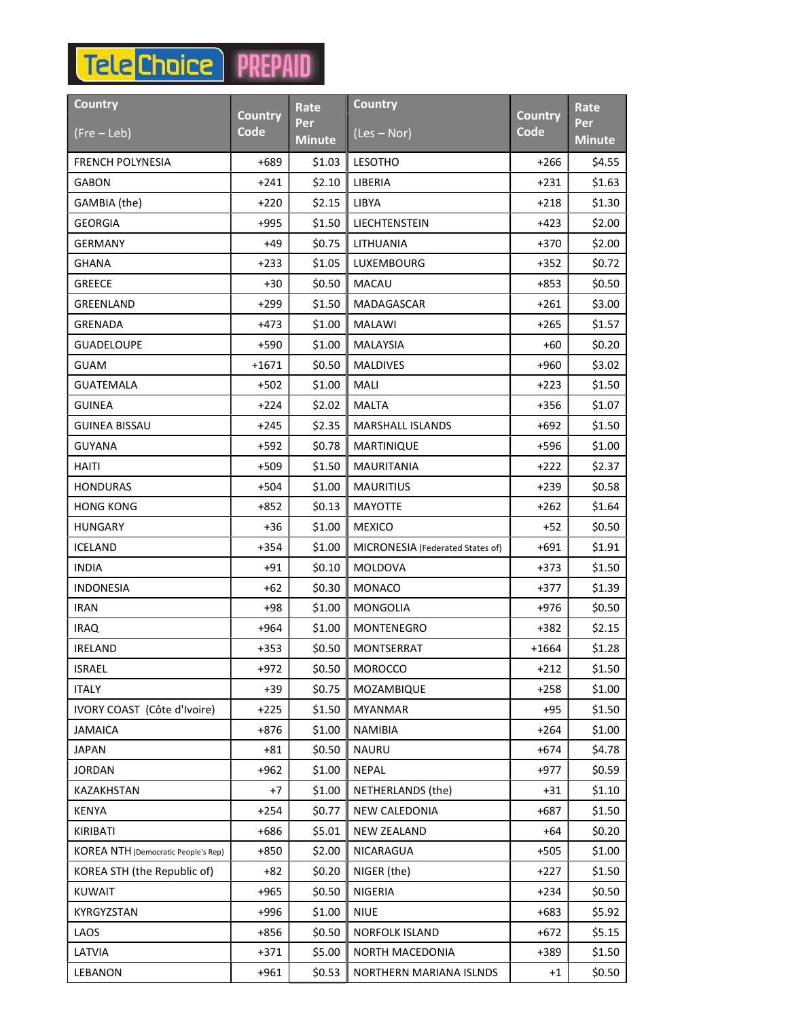## **Tele** Choice PREPAID

| <b>Country</b>                             | Country | <b>Rate</b>          | <b>Country</b>                   | Country | <b>Rate</b>      |
|--------------------------------------------|---------|----------------------|----------------------------------|---------|------------------|
| $(Fre - Leb)$                              | Code    | Per<br><b>Minute</b> | $(Les - Nor)$                    | Code    | <b>Per</b>       |
|                                            | $+689$  | \$1.03               | <b>LESOTHO</b>                   | $+266$  | <b>Minute</b>    |
| <b>FRENCH POLYNESIA</b><br><b>GABON</b>    | $+241$  | \$2.10               | LIBERIA                          | +231    | \$4.55<br>\$1.63 |
| GAMBIA (the)                               | $+220$  | \$2.15               | LIBYA                            | $+218$  | \$1.30           |
| <b>GEORGIA</b>                             | +995    | \$1.50               | LIECHTENSTEIN                    | +423    | \$2.00           |
| <b>GERMANY</b>                             | +49     | \$0.75               | LITHUANIA                        | $+370$  | \$2.00           |
| <b>GHANA</b>                               | $+233$  | \$1.05               | <b>LUXEMBOURG</b>                | $+352$  | \$0.72           |
| <b>GREECE</b>                              | +30     | \$0.50               | <b>MACAU</b>                     | +853    | \$0.50           |
| <b>GREENLAND</b>                           | $+299$  | \$1.50               | MADAGASCAR                       | $+261$  | \$3.00           |
| GRENADA                                    | $+473$  | \$1.00               | <b>MALAWI</b>                    | $+265$  | \$1.57           |
| <b>GUADELOUPE</b>                          | +590    | \$1.00               | <b>MALAYSIA</b>                  | +60     | \$0.20           |
| <b>GUAM</b>                                | $+1671$ | \$0.50               | <b>MALDIVES</b>                  | $+960$  | \$3.02\$         |
| <b>GUATEMALA</b>                           | $+502$  | \$1.00               | MALI                             | $+223$  | \$1.50           |
| <b>GUINEA</b>                              | +224    | \$2.02               | <b>MALTA</b>                     | $+356$  | \$1.07           |
| <b>GUINEA BISSAU</b>                       | $+245$  | \$2.35               | <b>MARSHALL ISLANDS</b>          | +692    | \$1.50           |
| GUYANA                                     | $+592$  | \$0.78               | MARTINIQUE                       | +596    | \$1.00           |
| HAITI                                      | $+509$  | \$1.50               | <b>MAURITANIA</b>                | $+222$  | \$2.37           |
| <b>HONDURAS</b>                            | +504    | \$1.00               | <b>MAURITIUS</b>                 | +239    | \$0.58           |
| <b>HONG KONG</b>                           | +852    | \$0.13               | <b>MAYOTTE</b>                   | $+262$  | \$1.64           |
| <b>HUNGARY</b>                             | $+36$   | \$1.00               | <b>MEXICO</b>                    | $+52$   | \$0.50           |
| ICELAND                                    | $+354$  | \$1.00               | MICRONESIA (Federated States of) | +691    | \$1.91           |
| <b>INDIA</b>                               | $+91$   | \$0.10               | MOLDOVA                          | $+373$  | \$1.50           |
| <b>INDONESIA</b>                           | +62     | \$0.30               | <b>MONACO</b>                    | $+377$  | \$1.39           |
| <b>IRAN</b>                                | +98     | \$1.00               | <b>MONGOLIA</b>                  | $+976$  | \$0.50           |
| <b>IRAQ</b>                                | +964    | \$1.00               | MONTENEGRO                       | +382    | \$2.15           |
| <b>IRELAND</b>                             | $+353$  | \$0.50               | MONTSERRAT                       | $+1664$ | \$1.28           |
| <b>ISRAEL</b>                              | +972    | $$0.50$              | <b>MOROCCO</b>                   | +212    | \$1.50           |
| <b>ITALY</b>                               | $+39$   | \$0.75               | MOZAMBIQUE                       | $+258$  | \$1.00           |
| IVORY COAST (Côte d'Ivoire)                | +225    | \$1.50               | <b>MYANMAR</b>                   | +95     | \$1.50           |
| <b>JAMAICA</b>                             | $+876$  | \$1.00               | <b>NAMIBIA</b>                   | $+264$  | \$1.00           |
| <b>JAPAN</b>                               | $+81$   | \$0.50               | <b>NAURU</b>                     | $+674$  | \$4.78           |
| <b>JORDAN</b>                              | +962    | \$1.00               | NEPAL                            | +977    | \$0.59           |
| KAZAKHSTAN                                 | +7      | \$1.00               | NETHERLANDS (the)                | +31     | \$1.10           |
| <b>KENYA</b>                               | $+254$  | \$0.77               | NEW CALEDONIA                    | $+687$  | \$1.50           |
| KIRIBATI                                   | $+686$  | \$5.01               | NEW ZEALAND                      | +64     | \$0.20           |
| <b>KOREA NTH</b> (Democratic People's Rep) | $+850$  | \$2.00               | NICARAGUA                        | $+505$  | \$1.00           |
| KOREA STH (the Republic of)                | +82     | \$0.20               | NIGER (the)                      | +227    | \$1.50           |
| <b>KUWAIT</b>                              | $+965$  | \$0.50               | NIGERIA                          | $+234$  | \$0.50           |
| KYRGYZSTAN                                 | +996    | \$1.00               | <b>NIUE</b>                      | $+683$  | \$5.92           |
| LAOS                                       | $+856$  | \$0.50               | NORFOLK ISLAND                   | $+672$  | \$5.15           |
| LATVIA                                     | $+371$  | \$5.00               | NORTH MACEDONIA                  | +389    | \$1.50           |
| LEBANON                                    | $+961$  | \$0.53               | NORTHERN MARIANA ISLNDS          | +1      | \$0.50           |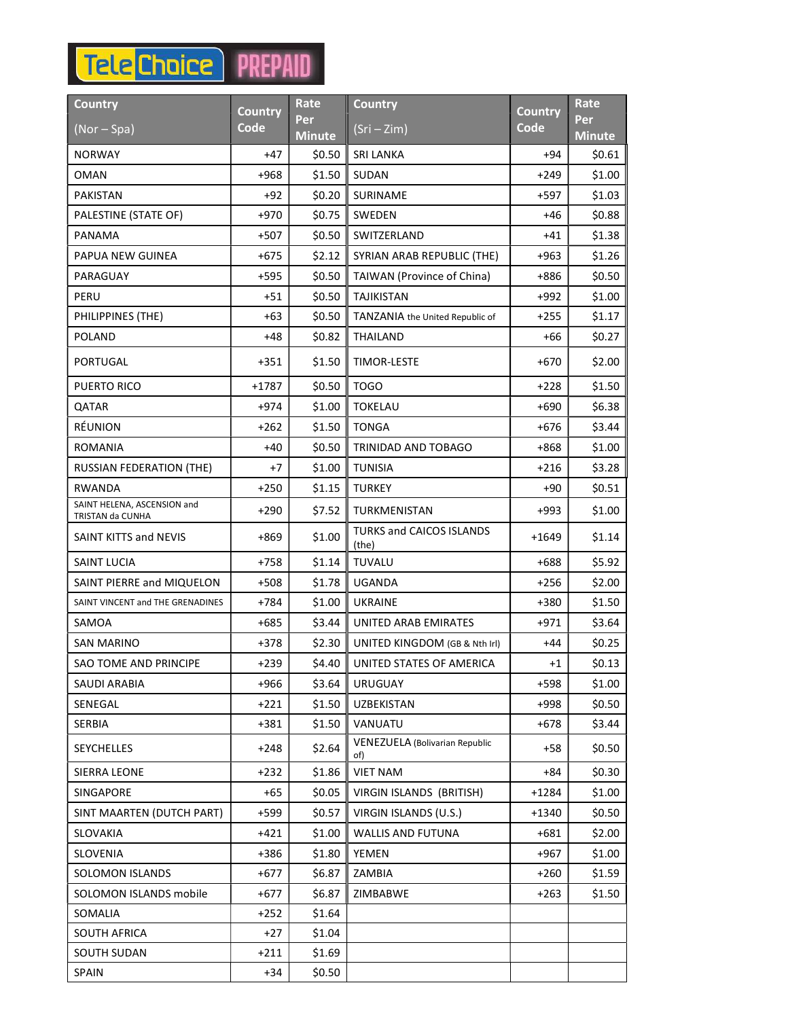## **Tele** Choice PREPAID

| Country                                         | <b>Country</b> | Rate                 | <b>Country</b>                               | <b>Country</b> | <b>Rate</b>           |
|-------------------------------------------------|----------------|----------------------|----------------------------------------------|----------------|-----------------------|
| $(Nor - Spa)$                                   | Code           | Per<br><b>Minute</b> | $(Sri - Zim)$                                | Code           | Perl<br><b>Minute</b> |
| <b>NORWAY</b>                                   | $+47$          | \$0.50               | <b>SRI LANKA</b>                             | +94            | \$0.61                |
| OMAN                                            | +968           | \$1.50               | SUDAN                                        | $+249$         | \$1.00                |
| <b>PAKISTAN</b>                                 | $+92$          | \$0.20               | <b>SURINAME</b>                              | +597           | \$1.03                |
| PALESTINE (STATE OF)                            | +970           | \$0.75               | <b>SWEDEN</b>                                | +46            | \$0.88                |
| PANAMA                                          | +507           | \$0.50               | SWITZERLAND                                  | +41            | \$1.38                |
| PAPUA NEW GUINEA                                | $+675$         | \$2.12               | SYRIAN ARAB REPUBLIC (THE)                   | $+963$         | \$1.26                |
| PARAGUAY                                        | +595           | \$0.50               | TAIWAN (Province of China)                   | +886           | \$0.50                |
| PERU                                            | $+51$          | \$0.50               | <b>TAJIKISTAN</b>                            | +992           | \$1.00                |
| PHILIPPINES (THE)                               | +63            | \$0.50               | TANZANIA the United Republic of              | $+255$         | \$1.17                |
| <b>POLAND</b>                                   | $+48$          | \$0.82               | <b>THAILAND</b>                              | +66            | \$0.27                |
| PORTUGAL                                        | +351           | \$1.50               | <b>TIMOR-LESTE</b>                           | $+670$         | \$2.00                |
| PUERTO RICO                                     | $+1787$        | \$0.50               | <b>TOGO</b>                                  | $+228$         | \$1.50                |
| QATAR                                           | +974           | \$1.00               | <b>TOKELAU</b>                               | +690           | \$6.38                |
| RÉUNION                                         | $+262$         | \$1.50               | <b>TONGA</b>                                 | $+676$         | \$3.44                |
| ROMANIA                                         | $+40$          | \$0.50               | TRINIDAD AND TOBAGO                          | +868           | \$1.00                |
| <b>RUSSIAN FEDERATION (THE)</b>                 | +7             | \$1.00               | <b>TUNISIA</b>                               | $+216$         | \$3.28                |
| <b>RWANDA</b>                                   | $+250$         | \$1.15               | <b>TURKEY</b>                                | +90            | \$0.51                |
| SAINT HELENA, ASCENSION and<br>TRISTAN da CUNHA | $+290$         | \$7.52               | TURKMENISTAN                                 | $+993$         | \$1.00                |
| SAINT KITTS and NEVIS                           | +869           | \$1.00               | TURKS and CAICOS ISLANDS<br>(the)            | +1649          | \$1.14                |
| SAINT LUCIA                                     | +758           | \$1.14               | <b>TUVALU</b>                                | +688           | \$5.92                |
| SAINT PIERRE and MIQUELON                       | +508           | \$1.78               | <b>UGANDA</b>                                | $+256$         | \$2.00                |
| SAINT VINCENT and THE GRENADINES                | +784           | \$1.00               | <b>UKRAINE</b>                               | $+380$         | \$1.50                |
| SAMOA                                           | +685           | \$3.44               | UNITED ARAB EMIRATES                         | +971           | \$3.64                |
| <b>SAN MARINO</b>                               | +378           | \$2.30               | UNITED KINGDOM (GB & Nth Irl)                | +44            | \$0.25                |
| SAO TOME AND PRINCIPE                           | +239           | \$4.40               | UNITED STATES OF AMERICA                     | $+1$           | \$0.13                |
| <b>SAUDI ARABIA</b>                             | $+966$         | \$3.64               | <b>URUGUAY</b>                               | +598           | \$1.00                |
| SENEGAL                                         | $+221$         | \$1.50               | <b>UZBEKISTAN</b>                            | +998           | \$0.50                |
| <b>SERBIA</b>                                   | +381           | \$1.50               | VANUATU                                      | +678           | \$3.44                |
| <b>SEYCHELLES</b>                               | $+248$         | \$2.64               | <b>VENEZUELA (Bolivarian Republic</b><br>of) | $+58$          | \$0.50                |
| <b>SIERRA LEONE</b>                             | $+232$         | \$1.86               | <b>VIET NAM</b>                              | +84            | \$0.30                |
| SINGAPORE                                       | $+65$          | \$0.05               | VIRGIN ISLANDS (BRITISH)                     | $+1284$        | \$1.00                |
| SINT MAARTEN (DUTCH PART)                       | +599           | \$0.57               | VIRGIN ISLANDS (U.S.)                        | $+1340$        | \$0.50                |
| SLOVAKIA                                        | $+421$         | \$1.00               | <b>WALLIS AND FUTUNA</b>                     | $+681$         | \$2.00                |
| SLOVENIA                                        | +386           | \$1.80               | YEMEN                                        | +967           | \$1.00                |
| SOLOMON ISLANDS                                 | $+677$         | \$6.87               | ZAMBIA                                       | $+260$         | \$1.59                |
| SOLOMON ISLANDS mobile                          | +677           | \$6.87               | ZIMBABWE                                     | $+263$         | \$1.50                |
| SOMALIA                                         | $+252$         | \$1.64               |                                              |                |                       |
| SOUTH AFRICA                                    | $+27$          | \$1.04               |                                              |                |                       |
| SOUTH SUDAN                                     | $+211$         | \$1.69               |                                              |                |                       |
| <b>SPAIN</b>                                    | $+34$          | \$0.50               |                                              |                |                       |